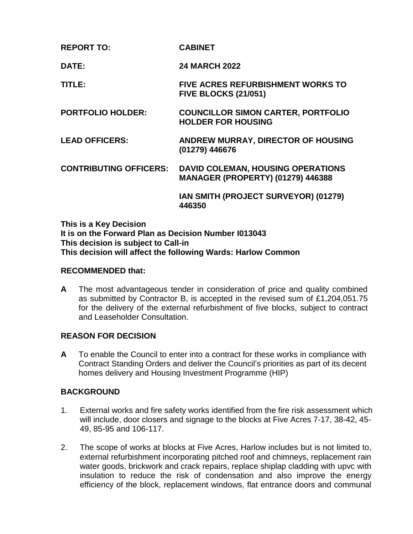| <b>REPORT TO:</b> | <b>CABINET</b> |
|-------------------|----------------|
|                   |                |

**DATE: 24 MARCH 2022**

**TITLE: FIVE ACRES REFURBISHMENT WORKS TO FIVE BLOCKS (21/051)**

**PORTFOLIO HOLDER: COUNCILLOR SIMON CARTER, PORTFOLIO HOLDER FOR HOUSING**

**LEAD OFFICERS: ANDREW MURRAY, DIRECTOR OF HOUSING (01279) 446676**

**CONTRIBUTING OFFICERS: DAVID COLEMAN, HOUSING OPERATIONS MANAGER (PROPERTY) (01279) 446388**

> **IAN SMITH (PROJECT SURVEYOR) (01279) 446350**

**This is a Key Decision It is on the Forward Plan as Decision Number I013043 This decision is subject to Call-in This decision will affect the following Wards: Harlow Common**

#### **RECOMMENDED that:**

**A** The most advantageous tender in consideration of price and quality combined as submitted by Contractor B, is accepted in the revised sum of £1,204,051.75 for the delivery of the external refurbishment of five blocks, subject to contract and Leaseholder Consultation.

### **REASON FOR DECISION**

**A** To enable the Council to enter into a contract for these works in compliance with Contract Standing Orders and deliver the Council's priorities as part of its decent homes delivery and Housing Investment Programme (HIP)

### **BACKGROUND**

- 1. External works and fire safety works identified from the fire risk assessment which will include, door closers and signage to the blocks at Five Acres 7-17, 38-42, 45- 49, 85-95 and 106-117.
- 2. The scope of works at blocks at Five Acres, Harlow includes but is not limited to, external refurbishment incorporating pitched roof and chimneys, replacement rain water goods, brickwork and crack repairs, replace shiplap cladding with upvc with insulation to reduce the risk of condensation and also improve the energy efficiency of the block, replacement windows, flat entrance doors and communal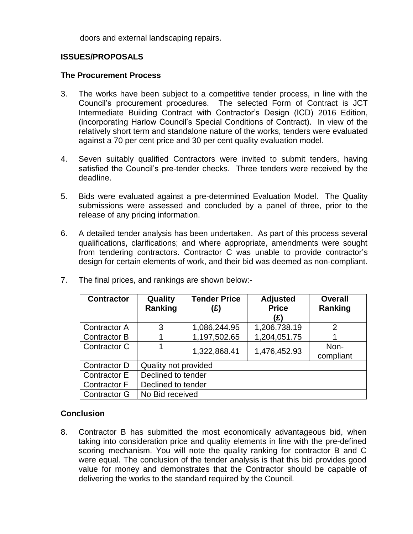doors and external landscaping repairs.

# **ISSUES/PROPOSALS**

### **The Procurement Process**

- 3. The works have been subject to a competitive tender process, in line with the Council's procurement procedures. The selected Form of Contract is JCT Intermediate Building Contract with Contractor's Design (ICD) 2016 Edition, (incorporating Harlow Council's Special Conditions of Contract). In view of the relatively short term and standalone nature of the works, tenders were evaluated against a 70 per cent price and 30 per cent quality evaluation model.
- 4. Seven suitably qualified Contractors were invited to submit tenders, having satisfied the Council's pre-tender checks. Three tenders were received by the deadline.
- 5. Bids were evaluated against a pre-determined Evaluation Model. The Quality submissions were assessed and concluded by a panel of three, prior to the release of any pricing information.
- 6. A detailed tender analysis has been undertaken. As part of this process several qualifications, clarifications; and where appropriate, amendments were sought from tendering contractors. Contractor C was unable to provide contractor's design for certain elements of work, and their bid was deemed as non-compliant.

| <b>Contractor</b>   | Quality<br>Ranking   | <b>Tender Price</b><br>(E) | <b>Adjusted</b><br><b>Price</b><br>(£) | <b>Overall</b><br>Ranking |  |
|---------------------|----------------------|----------------------------|----------------------------------------|---------------------------|--|
| <b>Contractor A</b> | 3                    | 1,086,244.95               | 1,206.738.19                           | $\mathcal{P}$             |  |
| Contractor B        |                      | 1,197,502.65               | 1,204,051.75                           |                           |  |
| Contractor C        |                      | 1,322,868.41               | 1,476,452.93                           | Non-<br>compliant         |  |
| Contractor D        | Quality not provided |                            |                                        |                           |  |
| Contractor E        | Declined to tender   |                            |                                        |                           |  |
| Contractor F        | Declined to tender   |                            |                                        |                           |  |
| Contractor G        | No Bid received      |                            |                                        |                           |  |

7. The final prices, and rankings are shown below:-

# **Conclusion**

8. Contractor B has submitted the most economically advantageous bid, when taking into consideration price and quality elements in line with the pre-defined scoring mechanism. You will note the quality ranking for contractor B and C were equal. The conclusion of the tender analysis is that this bid provides good value for money and demonstrates that the Contractor should be capable of delivering the works to the standard required by the Council.